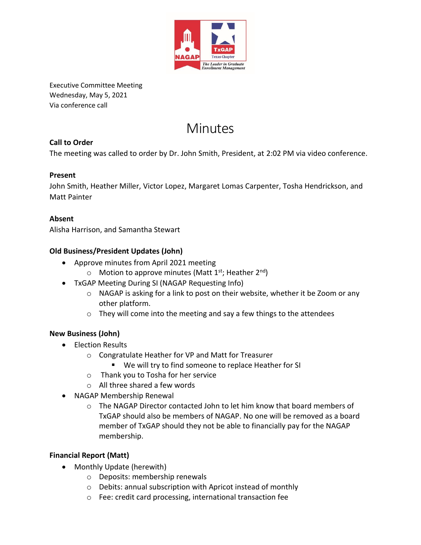

Executive Committee Meeting Wednesday, May 5, 2021 Via conference call

# **Minutes**

### **Call to Order**

The meeting was called to order by Dr. John Smith, President, at 2:02 PM via video conference.

#### **Present**

John Smith, Heather Miller, Victor Lopez, Margaret Lomas Carpenter, Tosha Hendrickson, and Matt Painter

#### **Absent**

Alisha Harrison, and Samantha Stewart

#### **Old Business/President Updates (John)**

- Approve minutes from April 2021 meeting
	- $\circ$  Motion to approve minutes (Matt 1<sup>st</sup>; Heather 2<sup>nd</sup>)
- TxGAP Meeting During SI (NAGAP Requesting Info)
	- o NAGAP is asking for a link to post on their website, whether it be Zoom or any other platform.
	- o They will come into the meeting and say a few things to the attendees

#### **New Business (John)**

- Election Results
	- o Congratulate Heather for VP and Matt for Treasurer
		- We will try to find someone to replace Heather for SI
	- o Thank you to Tosha for her service
	- o All three shared a few words
- NAGAP Membership Renewal
	- $\circ$  The NAGAP Director contacted John to let him know that board members of TxGAP should also be members of NAGAP. No one will be removed as a board member of TxGAP should they not be able to financially pay for the NAGAP membership.

#### **Financial Report (Matt)**

- Monthly Update (herewith)
	- o Deposits: membership renewals
	- o Debits: annual subscription with Apricot instead of monthly
	- o Fee: credit card processing, international transaction fee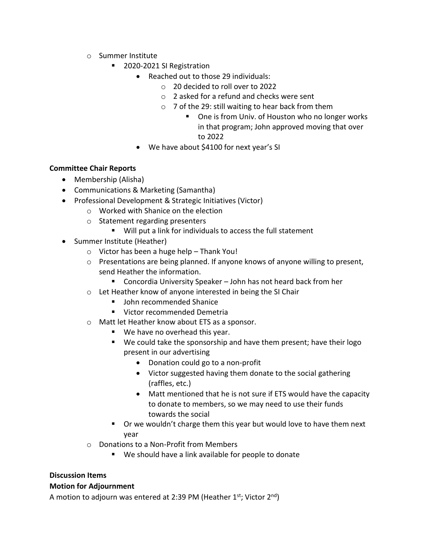- o Summer Institute
	- 2020-2021 SI Registration
		- Reached out to those 29 individuals:
			- o 20 decided to roll over to 2022
			- o 2 asked for a refund and checks were sent
			- $\circ$  7 of the 29: still waiting to hear back from them
				- One is from Univ. of Houston who no longer works in that program; John approved moving that over to 2022
		- We have about \$4100 for next year's SI

#### **Committee Chair Reports**

- Membership (Alisha)
- Communications & Marketing (Samantha)
- Professional Development & Strategic Initiatives (Victor)
	- o Worked with Shanice on the election
	- o Statement regarding presenters
		- Will put a link for individuals to access the full statement
- Summer Institute (Heather)
	- o Victor has been a huge help Thank You!
	- $\circ$  Presentations are being planned. If anyone knows of anyone willing to present, send Heather the information.
		- Concordia University Speaker John has not heard back from her
	- o Let Heather know of anyone interested in being the SI Chair
		- **John recommended Shanice**
		- **Unitary Commended Demetria**
	- o Matt let Heather know about ETS as a sponsor.
		- We have no overhead this year.
		- We could take the sponsorship and have them present; have their logo present in our advertising
			- Donation could go to a non-profit
			- Victor suggested having them donate to the social gathering (raffles, etc.)
			- Matt mentioned that he is not sure if ETS would have the capacity to donate to members, so we may need to use their funds towards the social
		- Or we wouldn't charge them this year but would love to have them next year
	- o Donations to a Non-Profit from Members
		- We should have a link available for people to donate

#### **Discussion Items**

#### **Motion for Adjournment**

A motion to adjourn was entered at 2:39 PM (Heather  $1^{st}$ ; Victor  $2^{nd}$ )